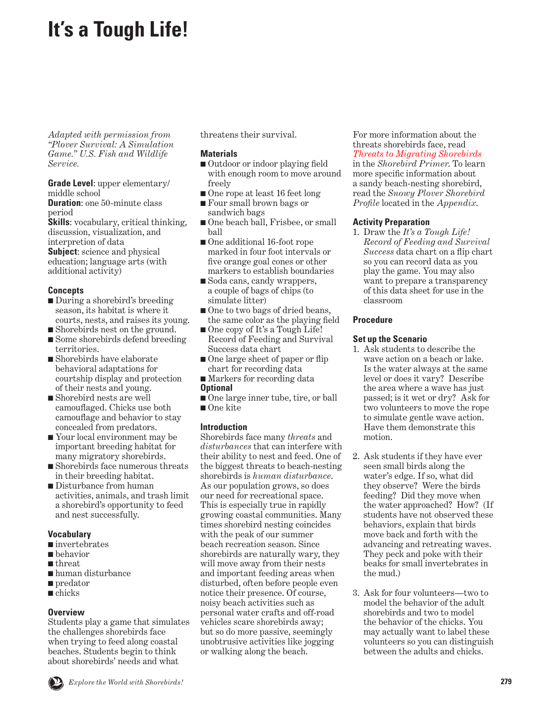# **It's a Tough Life!**

*Adapted with permission from "Plover Survival: A Simulation Game." U.S. Fish and Wildlife Service.*

**Grade Level**: upper elementary/ middle school

**Duration:** one 50-minute class period

**Skills**: vocabulary, critical thinking, discussion, visualization, and interpretion of data

**Subject**: science and physical education; language arts (with additional activity)

# **Concepts**

- During a shorebird's breeding season, its habitat is where it courts, nests, and raises its young.
- Shorebirds nest on the ground.
- Some shorebirds defend breeding territories.
- Shorebirds have elaborate behavioral adaptations for courtship display and protection of their nests and young.
- Shorebird nests are well camouflaged. Chicks use both camouflage and behavior to stay concealed from predators.
- Your local environment may be important breeding habitat for many migratory shorebirds.
- Shorebirds face numerous threats in their breeding habitat.
- Disturbance from human activities, animals, and trash limit a shorebird's opportunity to feed and nest successfully.

# **Vocabulary**

- invertebrates
- behavior
- threat
- human disturbance
- predator
- chicks

# **Overview**

Students play a game that simulates the challenges shorebirds face when trying to feed along coastal beaches. Students begin to think about shorebirds' needs and what

threatens their survival.

# **Materials**

- Outdoor or indoor playing field with enough room to move around freely
- One rope at least 16 feet long
- Four small brown bags or sandwich bags
- One beach ball, Frisbee, or small ball
- One additional 16-foot rope marked in four foot intervals or five orange goal cones or other markers to establish boundaries
- Soda cans, candy wrappers, a couple of bags of chips (to simulate litter)
- One to two bags of dried beans, the same color as the playing field
- One copy of It's a Tough Life! Record of Feeding and Survival Success data chart
- One large sheet of paper or flip chart for recording data
- Markers for recording data **Optional**
- One large inner tube, tire, or ball ■ One kite

# **Introduction**

Shorebirds face many *threats* and *disturbances* that can interfere with their ability to nest and feed. One of the biggest threats to beach-nesting shorebirds is *human disturbance*. As our population grows, so does our need for recreational space. This is especially true in rapidly growing coastal communities. Many times shorebird nesting coincides with the peak of our summer beach recreation season. Since shorebirds are naturally wary, they will move away from their nests and important feeding areas when disturbed, often before people even notice their presence. Of course, noisy beach activities such as personal water crafts and off-road vehicles scare shorebirds away; but so do more passive, seemingly unobtrusive activities like jogging or walking along the beach.

For more information about the threats shorebirds face, read *[Threats to Migrating Shorebirds](#page-31-0)* in the *Shorebird Primer*. To learn more specific information about a sandy beach-nesting shorebird, read the *Snowy Plover Shorebird Profile* located in the *Appendix*.

# **Activity Preparation**

1. Draw the *It's a Tough Life! Record of Feeding and Survival Success* data chart on a flip chart so you can record data as you play the game. You may also want to prepare a transparency of this data sheet for use in the classroom

# **Procedure**

# **Set up the Scenario**

- 1. Ask students to describe the wave action on a beach or lake. Is the water always at the same level or does it vary? Describe the area where a wave has just passed; is it wet or dry? Ask for two volunteers to move the rope to simulate gentle wave action. Have them demonstrate this motion.
- 2. Ask students if they have ever seen small birds along the water's edge. If so, what did they observe? Were the birds feeding? Did they move when the water approached? How? (If students have not observed these behaviors, explain that birds move back and forth with the advancing and retreating waves. They peck and poke with their beaks for small invertebrates in the mud.)
- 3. Ask for four volunteers—two to model the behavior of the adult shorebirds and two to model the behavior of the chicks. You may actually want to label these volunteers so you can distinguish between the adults and chicks.

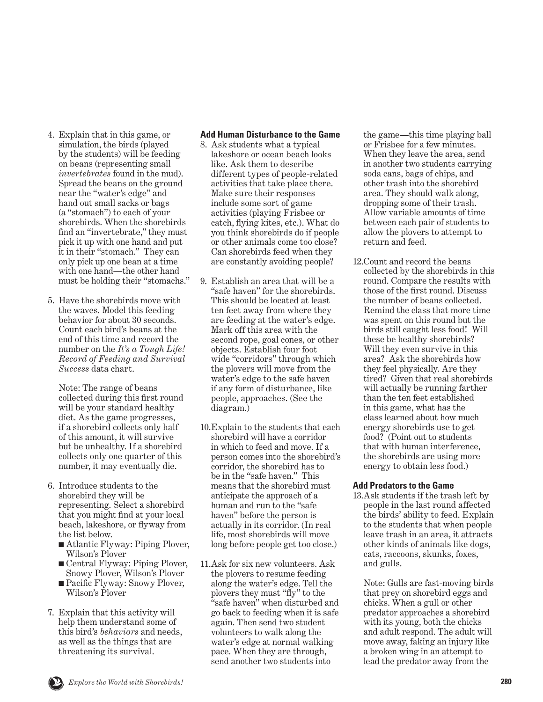- 4. Explain that in this game, or simulation, the birds (played by the students) will be feeding on beans (representing small *invertebrates* found in the mud). Spread the beans on the ground near the "water's edge" and hand out small sacks or bags (a "stomach") to each of your shorebirds. When the shorebirds find an "invertebrate," they must pick it up with one hand and put it in their "stomach." They can only pick up one bean at a time with one hand—the other hand must be holding their "stomachs."
- 5. Have the shorebirds move with the waves. Model this feeding behavior for about 30 seconds. Count each bird's beans at the end of this time and record the number on the *It's a Tough Life! Record of Feeding and Survival Success* data chart.

 Note: The range of beans collected during this first round will be your standard healthy diet. As the game progresses, if a shorebird collects only half of this amount, it will survive but be unhealthy. If a shorebird collects only one quarter of this number, it may eventually die.

- 6. Introduce students to the shorebird they will be representing. Select a shorebird that you might find at your local beach, lakeshore, or flyway from the list below.
	- Atlantic Flyway: Piping Plover, Wilson's Plover
	- Central Flyway: Piping Plover, Snowy Plover, Wilson's Plover
	- Pacific Flyway: Snowy Plover, Wilson's Plover
- 7. Explain that this activity will help them understand some of this bird's *behaviors* and needs, as well as the things that are threatening its survival.

#### **Add Human Disturbance to the Game**

- 8. Ask students what a typical lakeshore or ocean beach looks like. Ask them to describe different types of people-related activities that take place there. Make sure their responses include some sort of game activities (playing Frisbee or catch, flying kites, etc.). What do you think shorebirds do if people or other animals come too close? Can shorebirds feed when they are constantly avoiding people?
- 9. Establish an area that will be a "safe haven" for the shorebirds. This should be located at least ten feet away from where they are feeding at the water's edge. Mark off this area with the second rope, goal cones, or other objects. Establish four foot wide "corridors" through which the plovers will move from the water's edge to the safe haven if any form of disturbance, like people, approaches. (See the diagram.)
- 10. Explain to the students that each shorebird will have a corridor in which to feed and move. If a person comes into the shorebird's corridor, the shorebird has to be in the "safe haven." This means that the shorebird must anticipate the approach of a human and run to the "safe haven" before the person is actually in its corridor. (In real life, most shorebirds will move long before people get too close.)
- 11. Ask for six new volunteers. Ask the plovers to resume feeding along the water's edge. Tell the plovers they must "fly" to the "safe haven" when disturbed and go back to feeding when it is safe again. Then send two student volunteers to walk along the water's edge at normal walking pace. When they are through, send another two students into

the game—this time playing ball or Frisbee for a few minutes. When they leave the area, send in another two students carrying soda cans, bags of chips, and other trash into the shorebird area. They should walk along, dropping some of their trash. Allow variable amounts of time between each pair of students to allow the plovers to attempt to return and feed.

12. Count and record the beans collected by the shorebirds in this round. Compare the results with those of the first round. Discuss the number of beans collected. Remind the class that more time was spent on this round but the birds still caught less food! Will these be healthy shorebirds? Will they even survive in this area? Ask the shorebirds how they feel physically. Are they tired? Given that real shorebirds will actually be running farther than the ten feet established in this game, what has the class learned about how much energy shorebirds use to get food? (Point out to students that with human interference, the shorebirds are using more energy to obtain less food.)

#### **Add Predators to the Game**

13. Ask students if the trash left by people in the last round affected the birds' ability to feed. Explain to the students that when people leave trash in an area, it attracts other kinds of animals like dogs, cats, raccoons, skunks, foxes, and gulls.

 Note: Gulls are fast-moving birds that prey on shorebird eggs and chicks. When a gull or other predator approaches a shorebird with its young, both the chicks and adult respond. The adult will move away, faking an injury like a broken wing in an attempt to lead the predator away from the

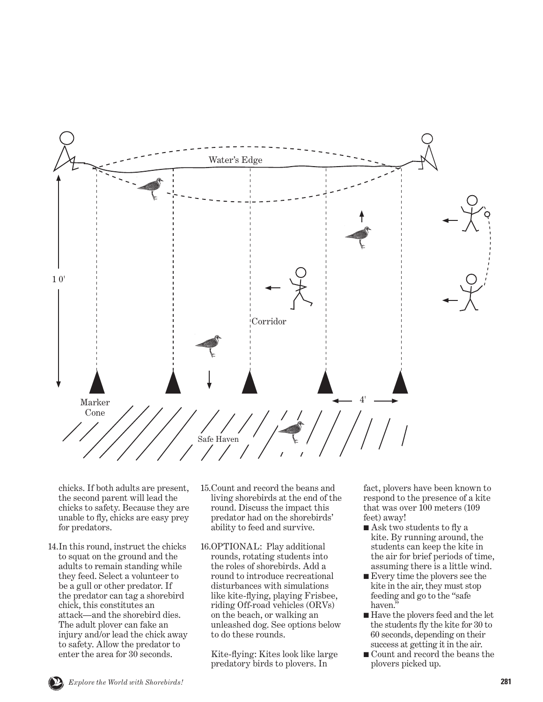

chicks. If both adults are present, the second parent will lead the chicks to safety. Because they are unable to fly, chicks are easy prey for predators.

- 14. In this round, instruct the chicks to squat on the ground and the adults to remain standing while they feed. Select a volunteer to be a gull or other predator. If the predator can tag a shorebird chick, this constitutes an attack—and the shorebird dies. The adult plover can fake an injury and/or lead the chick away to safety. Allow the predator to enter the area for 30 seconds.
- 15. Count and record the beans and living shorebirds at the end of the round. Discuss the impact this predator had on the shorebirds' ability to feed and survive.
- 16. OPTIONAL: Play additional rounds, rotating students into the roles of shorebirds. Add a round to introduce recreational disturbances with simulations like kite-flying, playing Frisbee, riding Off-road vehicles (ORVs) on the beach, or walking an unleashed dog. See options below to do these rounds.

 Kite-flying: Kites look like large predatory birds to plovers. In

fact, plovers have been known to respond to the presence of a kite that was over 100 meters (109 feet) away!

- Ask two students to fly a kite. By running around, the students can keep the kite in the air for brief periods of time, assuming there is a little wind.
- Every time the plovers see the kite in the air, they must stop feeding and go to the "safe haven."
- Have the plovers feed and the let the students fly the kite for 30 to 60 seconds, depending on their success at getting it in the air.
- Count and record the beans the plovers picked up.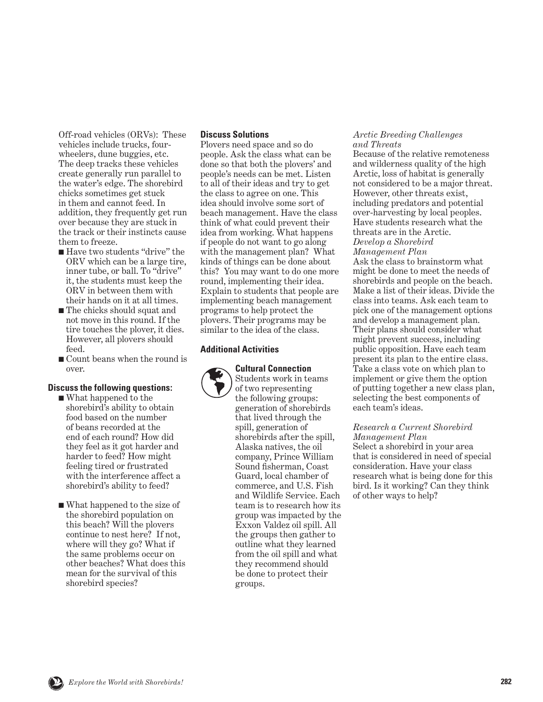Off-road vehicles (ORVs): These vehicles include trucks, fourwheelers, dune buggies, etc. The deep tracks these vehicles create generally run parallel to the water's edge. The shorebird chicks sometimes get stuck in them and cannot feed. In addition, they frequently get run over because they are stuck in the track or their instincts cause them to freeze.

- Have two students "drive" the ORV which can be a large tire, inner tube, or ball. To "drive" it, the students must keep the ORV in between them with their hands on it at all times.
- The chicks should squat and not move in this round. If the tire touches the plover, it dies. However, all plovers should feed.
- Count beans when the round is over.

#### **Discuss the following questions:**

- What happened to the shorebird's ability to obtain food based on the number of beans recorded at the end of each round? How did they feel as it got harder and harder to feed? How might feeling tired or frustrated with the interference affect a shorebird's ability to feed?
- What happened to the size of the shorebird population on this beach? Will the plovers continue to nest here? If not, where will they go? What if the same problems occur on other beaches? What does this mean for the survival of this shorebird species?

#### **Discuss Solutions**

Plovers need space and so do people. Ask the class what can be done so that both the plovers' and people's needs can be met. Listen to all of their ideas and try to get the class to agree on one. This idea should involve some sort of beach management. Have the class think of what could prevent their idea from working. What happens if people do not want to go along with the management plan? What kinds of things can be done about this? You may want to do one more round, implementing their idea. Explain to students that people are implementing beach management programs to help protect the plovers. Their programs may be similar to the idea of the class.

#### **Additional Activities**



**Cultural Connection** Students work in teams of two representing the following groups: generation of shorebirds that lived through the spill, generation of shorebirds after the spill, Alaska natives, the oil company, Prince William Sound fisherman, Coast Guard, local chamber of commerce, and U.S. Fish and Wildlife Service. Each team is to research how its group was impacted by the Exxon Valdez oil spill. All the groups then gather to outline what they learned from the oil spill and what they recommend should be done to protect their groups.

#### *Arctic Breeding Challenges and Threats*

Because of the relative remoteness and wilderness quality of the high Arctic, loss of habitat is generally not considered to be a major threat. However, other threats exist, including predators and potential over-harvesting by local peoples. Have students research what the threats are in the Arctic. *Develop a Shorebird Management Plan*

Ask the class to brainstorm what might be done to meet the needs of shorebirds and people on the beach. Make a list of their ideas. Divide the class into teams. Ask each team to pick one of the management options and develop a management plan. Their plans should consider what might prevent success, including public opposition. Have each team present its plan to the entire class. Take a class vote on which plan to implement or give them the option of putting together a new class plan, selecting the best components of each team's ideas.

# *Research a Current Shorebird Management Plan*

Select a shorebird in your area that is considered in need of special consideration. Have your class research what is being done for this bird. Is it working? Can they think of other ways to help?